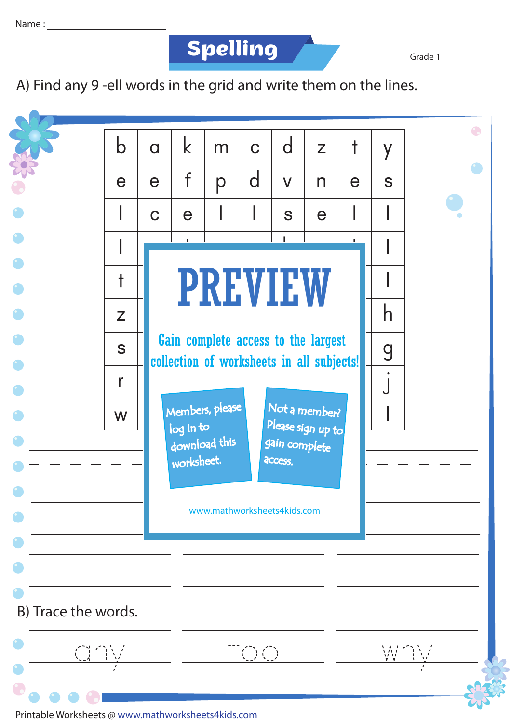**Spelling Grade 1** 

A) Find any 9 -ell words in the grid and write them on the lines.



Printable Worksheets @ www.mathworksheets4kids.com